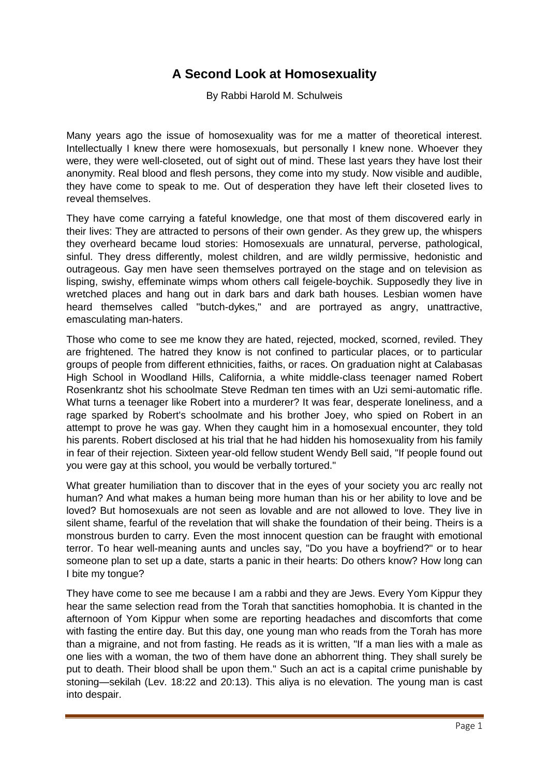## **A Second Look at Homosexuality**

By Rabbi Harold M. Schulweis

Many years ago the issue of homosexuality was for me a matter of theoretical interest. Intellectually I knew there were homosexuals, but personally I knew none. Whoever they were, they were well-closeted, out of sight out of mind. These last years they have lost their anonymity. Real blood and flesh persons, they come into my study. Now visible and audible, they have come to speak to me. Out of desperation they have left their closeted lives to reveal themselves.

They have come carrying a fateful knowledge, one that most of them discovered early in their lives: They are attracted to persons of their own gender. As they grew up, the whispers they overheard became loud stories: Homosexuals are unnatural, perverse, pathological, sinful. They dress differently, molest children, and are wildly permissive, hedonistic and outrageous. Gay men have seen themselves portrayed on the stage and on television as lisping, swishy, effeminate wimps whom others call feigele-boychik. Supposedly they live in wretched places and hang out in dark bars and dark bath houses. Lesbian women have heard themselves called "butch-dykes," and are portrayed as angry, unattractive, emasculating man-haters.

Those who come to see me know they are hated, rejected, mocked, scorned, reviled. They are frightened. The hatred they know is not confined to particular places, or to particular groups of people from different ethnicities, faiths, or races. On graduation night at Calabasas High School in Woodland Hills, California, a white middle-class teenager named Robert Rosenkrantz shot his schoolmate Steve Redman ten times with an Uzi semi-automatic rifle. What turns a teenager like Robert into a murderer? It was fear, desperate loneliness, and a rage sparked by Robert's schoolmate and his brother Joey, who spied on Robert in an attempt to prove he was gay. When they caught him in a homosexual encounter, they told his parents. Robert disclosed at his trial that he had hidden his homosexuality from his family in fear of their rejection. Sixteen year-old fellow student Wendy Bell said, "If people found out you were gay at this school, you would be verbally tortured."

What greater humiliation than to discover that in the eyes of your society you arc really not human? And what makes a human being more human than his or her ability to love and be loved? But homosexuals are not seen as lovable and are not allowed to love. They live in silent shame, fearful of the revelation that will shake the foundation of their being. Theirs is a monstrous burden to carry. Even the most innocent question can be fraught with emotional terror. To hear well-meaning aunts and uncles say, "Do you have a boyfriend?" or to hear someone plan to set up a date, starts a panic in their hearts: Do others know? How long can I bite my tongue?

They have come to see me because I am a rabbi and they are Jews. Every Yom Kippur they hear the same selection read from the Torah that sanctities homophobia. It is chanted in the afternoon of Yom Kippur when some are reporting headaches and discomforts that come with fasting the entire day. But this day, one young man who reads from the Torah has more than a migraine, and not from fasting. He reads as it is written, "If a man lies with a male as one lies with a woman, the two of them have done an abhorrent thing. They shall surely be put to death. Their blood shall be upon them." Such an act is a capital crime punishable by stoning—sekilah (Lev. 18:22 and 20:13). This aliya is no elevation. The young man is cast into despair.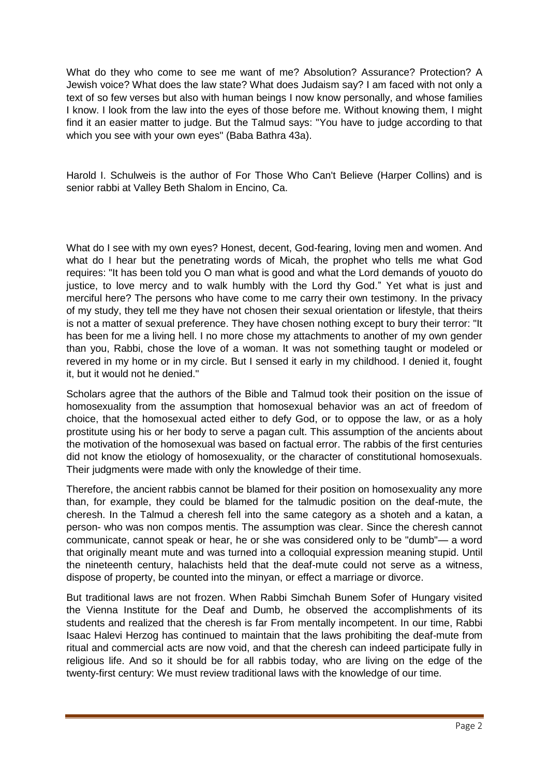What do they who come to see me want of me? Absolution? Assurance? Protection? A Jewish voice? What does the law state? What does Judaism say? I am faced with not only a text of so few verses but also with human beings I now know personally, and whose families I know. I look from the law into the eyes of those before me. Without knowing them, I might find it an easier matter to judge. But the Talmud says: "You have to judge according to that which you see with your own eyes" (Baba Bathra 43a).

Harold I. Schulweis is the author of For Those Who Can't Believe (Harper Collins) and is senior rabbi at Valley Beth Shalom in Encino, Ca.

What do I see with my own eyes? Honest, decent, God-fearing, loving men and women. And what do I hear but the penetrating words of Micah, the prophet who tells me what God requires: "It has been told you O man what is good and what the Lord demands of youoto do justice, to love mercy and to walk humbly with the Lord thy God." Yet what is just and merciful here? The persons who have come to me carry their own testimony. In the privacy of my study, they tell me they have not chosen their sexual orientation or lifestyle, that theirs is not a matter of sexual preference. They have chosen nothing except to bury their terror: "It has been for me a living hell. I no more chose my attachments to another of my own gender than you, Rabbi, chose the love of a woman. It was not something taught or modeled or revered in my home or in my circle. But I sensed it early in my childhood. I denied it, fought it, but it would not he denied."

Scholars agree that the authors of the Bible and Talmud took their position on the issue of homosexuality from the assumption that homosexual behavior was an act of freedom of choice, that the homosexual acted either to defy God, or to oppose the law, or as a holy prostitute using his or her body to serve a pagan cult. This assumption of the ancients about the motivation of the homosexual was based on factual error. The rabbis of the first centuries did not know the etiology of homosexuality, or the character of constitutional homosexuals. Their judgments were made with only the knowledge of their time.

Therefore, the ancient rabbis cannot be blamed for their position on homosexuality any more than, for example, they could be blamed for the talmudic position on the deaf-mute, the cheresh. In the Talmud a cheresh fell into the same category as a shoteh and a katan, a person- who was non compos mentis. The assumption was clear. Since the cheresh cannot communicate, cannot speak or hear, he or she was considered only to be "dumb"— a word that originally meant mute and was turned into a colloquial expression meaning stupid. Until the nineteenth century, halachists held that the deaf-mute could not serve as a witness, dispose of property, be counted into the minyan, or effect a marriage or divorce.

But traditional laws are not frozen. When Rabbi Simchah Bunem Sofer of Hungary visited the Vienna Institute for the Deaf and Dumb, he observed the accomplishments of its students and realized that the cheresh is far From mentally incompetent. In our time, Rabbi Isaac Halevi Herzog has continued to maintain that the laws prohibiting the deaf-mute from ritual and commercial acts are now void, and that the cheresh can indeed participate fully in religious life. And so it should be for all rabbis today, who are living on the edge of the twenty-first century: We must review traditional laws with the knowledge of our time.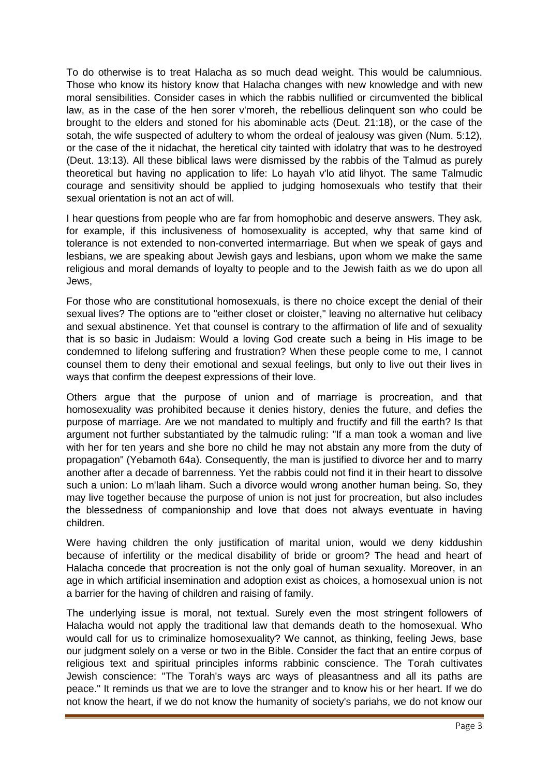To do otherwise is to treat Halacha as so much dead weight. This would be calumnious. Those who know its history know that Halacha changes with new knowledge and with new moral sensibilities. Consider cases in which the rabbis nullified or circumvented the biblical law, as in the case of the hen sorer v'moreh, the rebellious delinquent son who could be brought to the elders and stoned for his abominable acts (Deut. 21:18), or the case of the sotah, the wife suspected of adultery to whom the ordeal of jealousy was given (Num. 5:12), or the case of the it nidachat, the heretical city tainted with idolatry that was to he destroyed (Deut. 13:13). All these biblical laws were dismissed by the rabbis of the Talmud as purely theoretical but having no application to life: Lo hayah v'lo atid lihyot. The same Talmudic courage and sensitivity should be applied to judging homosexuals who testify that their sexual orientation is not an act of will.

I hear questions from people who are far from homophobic and deserve answers. They ask, for example, if this inclusiveness of homosexuality is accepted, why that same kind of tolerance is not extended to non-converted intermarriage. But when we speak of gays and lesbians, we are speaking about Jewish gays and lesbians, upon whom we make the same religious and moral demands of loyalty to people and to the Jewish faith as we do upon all Jews,

For those who are constitutional homosexuals, is there no choice except the denial of their sexual lives? The options are to "either closet or cloister," leaving no alternative hut celibacy and sexual abstinence. Yet that counsel is contrary to the affirmation of life and of sexuality that is so basic in Judaism: Would a loving God create such a being in His image to be condemned to lifelong suffering and frustration? When these people come to me, I cannot counsel them to deny their emotional and sexual feelings, but only to live out their lives in ways that confirm the deepest expressions of their love.

Others argue that the purpose of union and of marriage is procreation, and that homosexuality was prohibited because it denies history, denies the future, and defies the purpose of marriage. Are we not mandated to multiply and fructify and fill the earth? Is that argument not further substantiated by the talmudic ruling: "If a man took a woman and live with her for ten years and she bore no child he may not abstain any more from the duty of propagation" (Yebamoth 64a). Consequently, the man is justified to divorce her and to marry another after a decade of barrenness. Yet the rabbis could not find it in their heart to dissolve such a union: Lo m'laah liham. Such a divorce would wrong another human being. So, they may live together because the purpose of union is not just for procreation, but also includes the blessedness of companionship and love that does not always eventuate in having children.

Were having children the only justification of marital union, would we deny kiddushin because of infertility or the medical disability of bride or groom? The head and heart of Halacha concede that procreation is not the only goal of human sexuality. Moreover, in an age in which artificial insemination and adoption exist as choices, a homosexual union is not a barrier for the having of children and raising of family.

The underlying issue is moral, not textual. Surely even the most stringent followers of Halacha would not apply the traditional law that demands death to the homosexual. Who would call for us to criminalize homosexuality? We cannot, as thinking, feeling Jews, base our judgment solely on a verse or two in the Bible. Consider the fact that an entire corpus of religious text and spiritual principles informs rabbinic conscience. The Torah cultivates Jewish conscience: "The Torah's ways arc ways of pleasantness and all its paths are peace." It reminds us that we are to love the stranger and to know his or her heart. If we do not know the heart, if we do not know the humanity of society's pariahs, we do not know our